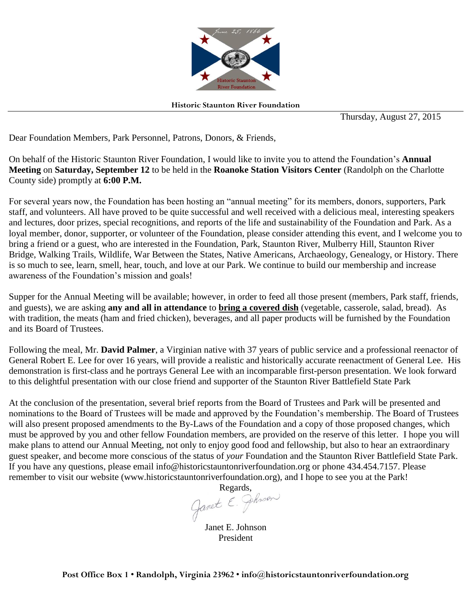

**Historic Staunton River Foundation** 

Thursday, August 27, 2015

Dear Foundation Members, Park Personnel, Patrons, Donors, & Friends,

On behalf of the Historic Staunton River Foundation, I would like to invite you to attend the Foundation's **Annual Meeting** on **Saturday, September 12** to be held in the **Roanoke Station Visitors Center** (Randolph on the Charlotte County side) promptly at **6:00 P.M.** 

For several years now, the Foundation has been hosting an "annual meeting" for its members, donors, supporters, Park staff, and volunteers. All have proved to be quite successful and well received with a delicious meal, interesting speakers and lectures, door prizes, special recognitions, and reports of the life and sustainability of the Foundation and Park. As a loyal member, donor, supporter, or volunteer of the Foundation, please consider attending this event, and I welcome you to bring a friend or a guest, who are interested in the Foundation, Park, Staunton River, Mulberry Hill, Staunton River Bridge, Walking Trails, Wildlife, War Between the States, Native Americans, Archaeology, Genealogy, or History. There is so much to see, learn, smell, hear, touch, and love at our Park. We continue to build our membership and increase awareness of the Foundation's mission and goals!

Supper for the Annual Meeting will be available; however, in order to feed all those present (members, Park staff, friends, and guests), we are asking **any and all in attendance** to **bring a covered dish** (vegetable, casserole, salad, bread). As with tradition, the meats (ham and fried chicken), beverages, and all paper products will be furnished by the Foundation and its Board of Trustees.

Following the meal, Mr. **David Palmer**, a Virginian native with 37 years of public service and a professional reenactor of General Robert E. Lee for over 16 years, will provide a realistic and historically accurate reenactment of General Lee. His demonstration is first-class and he portrays General Lee with an incomparable first-person presentation. We look forward to this delightful presentation with our close friend and supporter of the Staunton River Battlefield State Park

At the conclusion of the presentation, several brief reports from the Board of Trustees and Park will be presented and nominations to the Board of Trustees will be made and approved by the Foundation's membership. The Board of Trustees will also present proposed amendments to the By-Laws of the Foundation and a copy of those proposed changes, which must be approved by you and other fellow Foundation members, are provided on the reserve of this letter. I hope you will make plans to attend our Annual Meeting, not only to enjoy good food and fellowship, but also to hear an extraordinary guest speaker, and become more conscious of the status of *your* Foundation and the Staunton River Battlefield State Park. If you have any questions, please email info@historicstauntonriverfoundation.org or phone 434.454.7157. Please remember to visit our website (www.historicstauntonriverfoundation.org), and I hope to see you at the Park!

Regards,<br>Ganet E. Phroon

Janet E. Johnson President